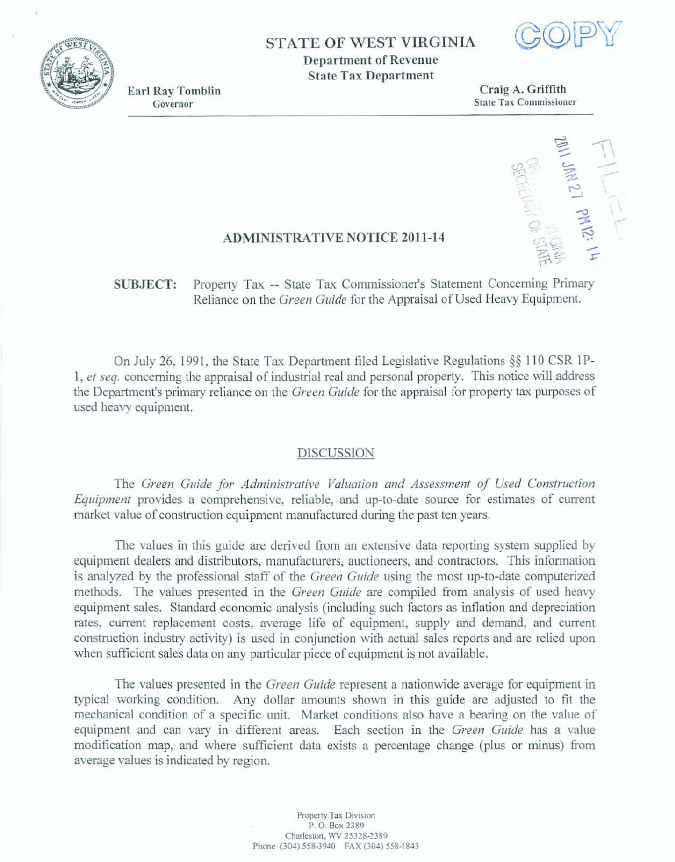

## **STATE OF WEST VIRGINIA**

**Department of Revenue State Tax Department** 



**Earl Ray Tomblin** Governor

Craig A. Griffith **State Tax Commissioner** 



## **ADMINISTRATIVE NOTICE 2011-14**

Property Tax -- State Tax Commissioner's Statement Concerning Primary **SUBJECT:** Reliance on the Green Guide for the Appraisal of Used Heavy Equipment.

On July 26, 1991, the State Tax Department filed Legislative Regulations §§ 110 CSR 1P-1, et seq. concerning the appraisal of industrial real and personal property. This notice will address the Department's primary reliance on the *Green Guide* for the appraisal for property tax purposes of used heavy equipment.

## **DISCUSSION**

The Green Guide for Administrative Valuation and Assessment of Used Construction Equipment provides a comprehensive, reliable, and up-to-date source for estimates of current market value of construction equipment manufactured during the past ten years.

The values in this guide are derived from an extensive data reporting system supplied by equipment dealers and distributors, manufacturers, auctioneers, and contractors. This information is analyzed by the professional staff of the *Green Guide* using the most up-to-date computerized methods. The values presented in the *Green Guide* are compiled from analysis of used heavy equipment sales. Standard economic analysis (including such factors as inflation and depreciation rates, current replacement costs, average life of equipment, supply and demand, and current construction industry activity) is used in conjunction with actual sales reports and are relied upon when sufficient sales data on any particular piece of equipment is not available.

The values presented in the *Green Guide* represent a nationwide average for equipment in typical working condition. Any dollar amounts shown in this guide are adjusted to fit the mechanical condition of a specific unit. Market conditions also have a bearing on the value of equipment and can vary in different areas. Each section in the Green Guide has a value modification map, and where sufficient data exists a percentage change (plus or minus) from average values is indicated by region.